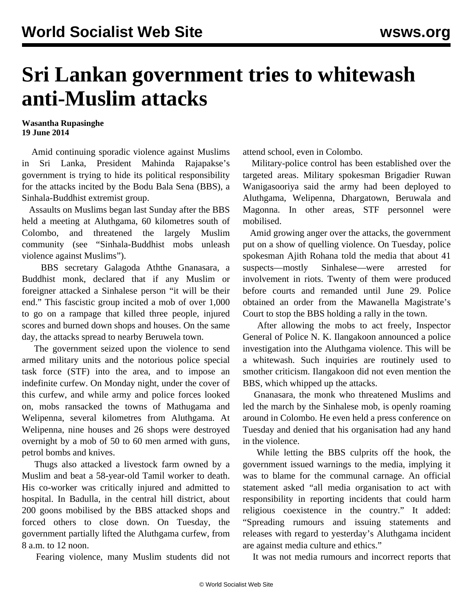## **Sri Lankan government tries to whitewash anti-Muslim attacks**

## **Wasantha Rupasinghe 19 June 2014**

 Amid continuing sporadic violence against Muslims in Sri Lanka, President Mahinda Rajapakse's government is trying to hide its political responsibility for the attacks incited by the Bodu Bala Sena (BBS), a Sinhala-Buddhist extremist group.

 Assaults on Muslims began last Sunday after the BBS held a meeting at Aluthgama, 60 kilometres south of Colombo, and threatened the largely Muslim community (see "[Sinhala-Buddhist mobs unleash](/en/articles/2014/06/17/sril-j17.html) [violence against Muslims](/en/articles/2014/06/17/sril-j17.html)").

 BBS secretary Galagoda Aththe Gnanasara, a Buddhist monk, declared that if any Muslim or foreigner attacked a Sinhalese person "it will be their end." This fascistic group incited a mob of over 1,000 to go on a rampage that killed three people, injured scores and burned down shops and houses. On the same day, the attacks spread to nearby Beruwela town.

 The government seized upon the violence to send armed military units and the notorious police special task force (STF) into the area, and to impose an indefinite curfew. On Monday night, under the cover of this curfew, and while army and police forces looked on, mobs ransacked the towns of Mathugama and Welipenna, several kilometres from Aluthgama. At Welipenna, nine houses and 26 shops were destroyed overnight by a mob of 50 to 60 men armed with guns, petrol bombs and knives.

 Thugs also attacked a livestock farm owned by a Muslim and beat a 58-year-old Tamil worker to death. His co-worker was critically injured and admitted to hospital. In Badulla, in the central hill district, about 200 goons mobilised by the BBS attacked shops and forced others to close down. On Tuesday, the government partially lifted the Aluthgama curfew, from 8 a.m. to 12 noon.

Fearing violence, many Muslim students did not

attend school, even in Colombo.

 Military-police control has been established over the targeted areas. Military spokesman Brigadier Ruwan Wanigasooriya said the army had been deployed to Aluthgama, Welipenna, Dhargatown, Beruwala and Magonna. In other areas, STF personnel were mobilised.

 Amid growing anger over the attacks, the government put on a show of quelling violence. On Tuesday, police spokesman Ajith Rohana told the media that about 41 suspects—mostly Sinhalese—were arrested for involvement in riots. Twenty of them were produced before courts and remanded until June 29. Police obtained an order from the Mawanella Magistrate's Court to stop the BBS holding a rally in the town.

 After allowing the mobs to act freely, Inspector General of Police N. K. Ilangakoon announced a police investigation into the Aluthgama violence. This will be a whitewash. Such inquiries are routinely used to smother criticism. Ilangakoon did not even mention the BBS, which whipped up the attacks.

 Gnanasara, the monk who threatened Muslims and led the march by the Sinhalese mob, is openly roaming around in Colombo. He even held a press conference on Tuesday and denied that his organisation had any hand in the violence.

 While letting the BBS culprits off the hook, the government issued warnings to the media, implying it was to blame for the communal carnage. An official statement asked "all media organisation to act with responsibility in reporting incidents that could harm religious coexistence in the country." It added: "Spreading rumours and issuing statements and releases with regard to yesterday's Aluthgama incident are against media culture and ethics."

It was not media rumours and incorrect reports that